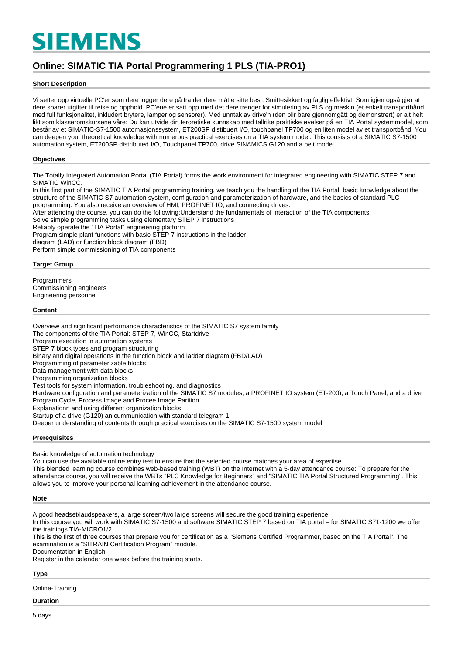# **SIEMENS**

# **Online: SIMATIC TIA Portal Programmering 1 PLS (TIA-PRO1)**

#### **Short Description**

Vi setter opp virtuelle PC'er som dere logger dere på fra der dere måtte sitte best. Smittesikkert og faglig effektivt. Som igjen også gjør at dere sparer utgifter til reise og opphold. PC'ene er satt opp med det dere trenger for simulering av PLS og maskin (et enkelt transportbånd med full funksjonalitet, inkludert brytere, lamper og sensorer). Med unntak av drive'n (den blir bare gjennomgått og demonstrert) er alt helt likt som klasseromskursene våre: Du kan utvide din teroretiske kunnskap med tallrike praktiske øvelser på en TIA Portal systemmodel, som består av et SIMATIC-S7-1500 automasjonssystem, ET200SP distibuert I/O, touchpanel TP700 og en liten model av et transportbånd. You can deepen your theoretical knowledge with numerous practical exercises on a TIA system model. This consists of a SIMATIC S7-1500 automation system, ET200SP distributed I/O, Touchpanel TP700, drive SINAMICS G120 and a belt model.

#### **Objectives**

The Totally Integrated Automation Portal (TIA Portal) forms the work environment for integrated engineering with SIMATIC STEP 7 and SIMATIC WinCC.

In this first part of the SIMATIC TIA Portal programming training, we teach you the handling of the TIA Portal, basic knowledge about the structure of the SIMATIC S7 automation system, configuration and parameterization of hardware, and the basics of standard PLC programming. You also receive an overview of HMI, PROFINET IO, and connecting drives.

After attending the course, you can do the following:Understand the fundamentals of interaction of the TIA components

Solve simple programming tasks using elementary STEP 7 instructions

Reliably operate the "TIA Portal" engineering platform

Program simple plant functions with basic STEP 7 instructions in the ladder diagram (LAD) or function block diagram (FBD) Perform simple commissioning of TIA components

#### **Target Group**

Programmers Commissioning engineers Engineering personnel

#### **Content**

Overview and significant performance characteristics of the SIMATIC S7 system family The components of the TIA Portal: STEP 7, WinCC, Startdrive Program execution in automation systems STEP 7 block types and program structuring Binary and digital operations in the function block and ladder diagram (FBD/LAD) Programming of parameterizable blocks Data management with data blocks Programming organization blocks Test tools for system information, troubleshooting, and diagnostics Hardware configuration and parameterization of the SIMATIC S7 modules, a PROFINET IO system (ET-200), a Touch Panel, and a drive Program Cycle, Process Image and Procee Image Partiion Explanationn and using different organization blocks Startup of a drive (G120) an cummunication with standard telegram 1 Deeper understanding of contents through practical exercises on the SIMATIC S7-1500 system model

#### **Prerequisites**

Basic knowledge of automation technology

You can use the available online entry test to ensure that the selected course matches your area of expertise.

This blended learning course combines web-based training (WBT) on the Internet with a 5-day attendance course: To prepare for the attendance course, you will receive the WBTs "PLC Knowledge for Beginners" and "SIMATIC TIA Portal Structured Programming". This allows you to improve your personal learning achievement in the attendance course.

#### **Note**

A good headset/laudspeakers, a large screen/two large screens will secure the good training experience.

In this course you will work with SIMATIC S7-1500 and software SIMATIC STEP 7 based on TIA portal – for SIMATIC S71-1200 we offer the trainings TIA-MICRO1/2.

This is the first of three courses that prepare you for certification as a "Siemens Certified Programmer, based on the TIA Portal". The examination is a "SITRAIN Certification Program" module.

Documentation in English.

Register in the calender one week before the training starts.

**Type**

Online-Training

## **Duration**